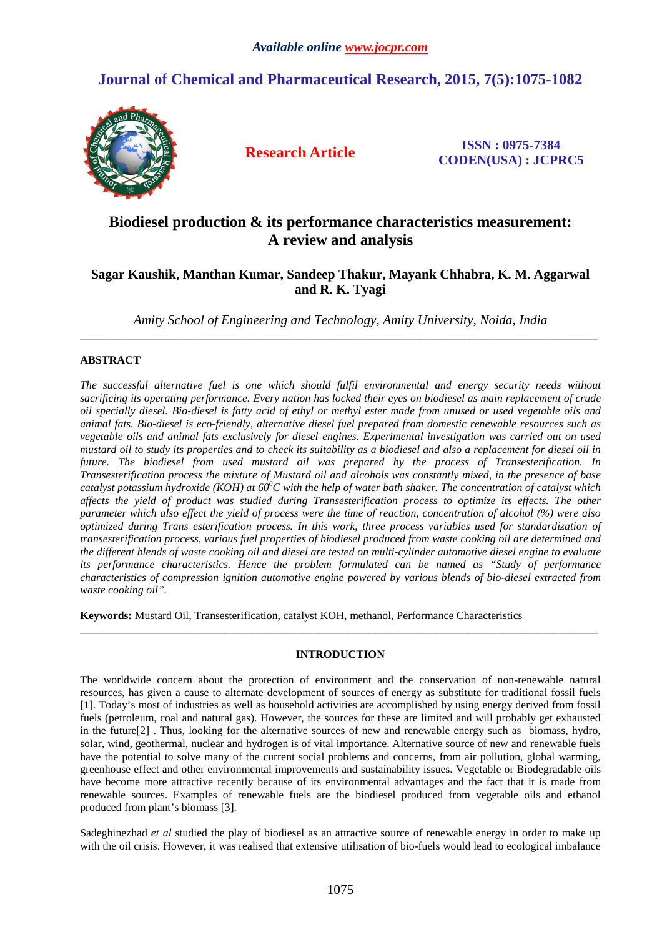# **Journal of Chemical and Pharmaceutical Research, 2015, 7(5):1075-1082**



**Research Article ISSN : 0975-7384 CODEN(USA) : JCPRC5**

# **Biodiesel production & its performance characteristics measurement: A review and analysis**

## **Sagar Kaushik, Manthan Kumar, Sandeep Thakur, Mayank Chhabra, K. M. Aggarwal and R. K. Tyagi**

*Amity School of Engineering and Technology, Amity University, Noida, India*  \_\_\_\_\_\_\_\_\_\_\_\_\_\_\_\_\_\_\_\_\_\_\_\_\_\_\_\_\_\_\_\_\_\_\_\_\_\_\_\_\_\_\_\_\_\_\_\_\_\_\_\_\_\_\_\_\_\_\_\_\_\_\_\_\_\_\_\_\_\_\_\_\_\_\_\_\_\_\_\_\_\_\_\_\_\_\_\_\_\_\_\_\_

### **ABSTRACT**

*The successful alternative fuel is one which should fulfil environmental and energy security needs without sacrificing its operating performance. Every nation has locked their eyes on biodiesel as main replacement of crude oil specially diesel. Bio-diesel is fatty acid of ethyl or methyl ester made from unused or used vegetable oils and animal fats. Bio-diesel is eco-friendly, alternative diesel fuel prepared from domestic renewable resources such as vegetable oils and animal fats exclusively for diesel engines. Experimental investigation was carried out on used mustard oil to study its properties and to check its suitability as a biodiesel and also a replacement for diesel oil in future. The biodiesel from used mustard oil was prepared by the process of Transesterification. In Transesterification process the mixture of Mustard oil and alcohols was constantly mixed, in the presence of base catalyst potassium hydroxide (KOH) at 60<sup>0</sup>C with the help of water bath shaker. The concentration of catalyst which affects the yield of product was studied during Transesterification process to optimize its effects. The other parameter which also effect the yield of process were the time of reaction, concentration of alcohol (%) were also optimized during Trans esterification process. In this work, three process variables used for standardization of transesterification process, various fuel properties of biodiesel produced from waste cooking oil are determined and the different blends of waste cooking oil and diesel are tested on multi-cylinder automotive diesel engine to evaluate its performance characteristics. Hence the problem formulated can be named as "Study of performance characteristics of compression ignition automotive engine powered by various blends of bio-diesel extracted from waste cooking oil".* 

**Keywords:** Mustard Oil, Transesterification, catalyst KOH, methanol, Performance Characteristics

### **INTRODUCTION**

\_\_\_\_\_\_\_\_\_\_\_\_\_\_\_\_\_\_\_\_\_\_\_\_\_\_\_\_\_\_\_\_\_\_\_\_\_\_\_\_\_\_\_\_\_\_\_\_\_\_\_\_\_\_\_\_\_\_\_\_\_\_\_\_\_\_\_\_\_\_\_\_\_\_\_\_\_\_\_\_\_\_\_\_\_\_\_\_\_\_\_\_\_

The worldwide concern about the protection of environment and the conservation of non-renewable natural resources, has given a cause to alternate development of sources of energy as substitute for traditional fossil fuels [1]. Today's most of industries as well as household activities are accomplished by using energy derived from fossil fuels (petroleum, coal and natural gas). However, the sources for these are limited and will probably get exhausted in the future[2] . Thus, looking for the alternative sources of new and renewable energy such as biomass, hydro, solar, wind, geothermal, nuclear and hydrogen is of vital importance. Alternative source of new and renewable fuels have the potential to solve many of the current social problems and concerns, from air pollution, global warming, greenhouse effect and other environmental improvements and sustainability issues. Vegetable or Biodegradable oils have become more attractive recently because of its environmental advantages and the fact that it is made from renewable sources. Examples of renewable fuels are the biodiesel produced from vegetable oils and ethanol produced from plant's biomass [3].

Sadeghinezhad *et al* studied the play of biodiesel as an attractive source of renewable energy in order to make up with the oil crisis. However, it was realised that extensive utilisation of bio-fuels would lead to ecological imbalance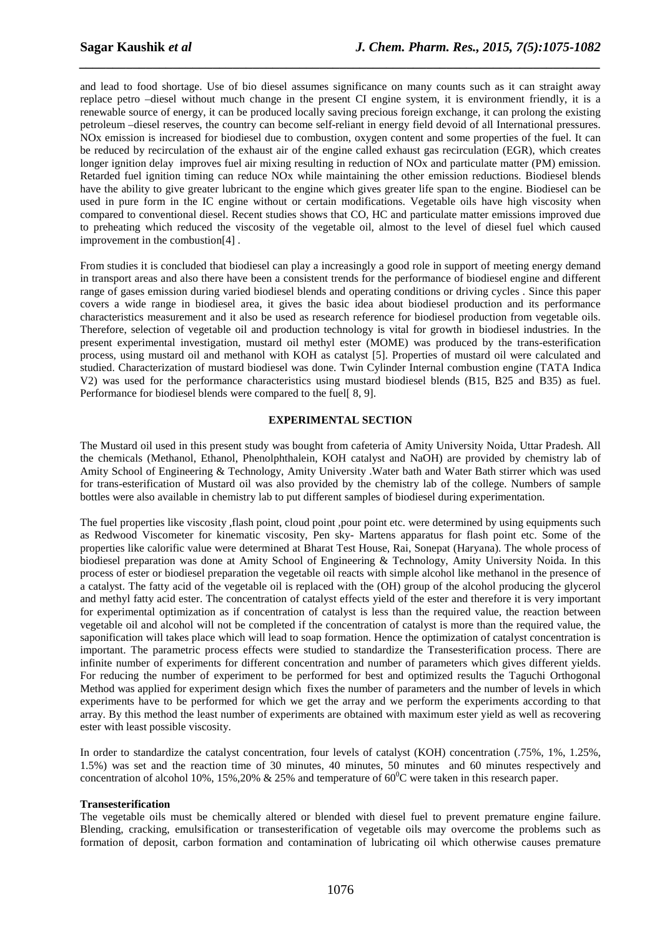and lead to food shortage. Use of bio diesel assumes significance on many counts such as it can straight away replace petro –diesel without much change in the present CI engine system, it is environment friendly, it is a renewable source of energy, it can be produced locally saving precious foreign exchange, it can prolong the existing petroleum –diesel reserves, the country can become self-reliant in energy field devoid of all International pressures. NOx emission is increased for biodiesel due to combustion, oxygen content and some properties of the fuel. It can be reduced by recirculation of the exhaust air of the engine called exhaust gas recirculation (EGR), which creates longer ignition delay improves fuel air mixing resulting in reduction of NOx and particulate matter (PM) emission. Retarded fuel ignition timing can reduce NOx while maintaining the other emission reductions. Biodiesel blends have the ability to give greater lubricant to the engine which gives greater life span to the engine. Biodiesel can be used in pure form in the IC engine without or certain modifications. Vegetable oils have high viscosity when compared to conventional diesel. Recent studies shows that CO, HC and particulate matter emissions improved due to preheating which reduced the viscosity of the vegetable oil, almost to the level of diesel fuel which caused improvement in the combustion[4] .

*\_\_\_\_\_\_\_\_\_\_\_\_\_\_\_\_\_\_\_\_\_\_\_\_\_\_\_\_\_\_\_\_\_\_\_\_\_\_\_\_\_\_\_\_\_\_\_\_\_\_\_\_\_\_\_\_\_\_\_\_\_\_\_\_\_\_\_\_\_\_\_\_\_\_\_\_\_\_*

From studies it is concluded that biodiesel can play a increasingly a good role in support of meeting energy demand in transport areas and also there have been a consistent trends for the performance of biodiesel engine and different range of gases emission during varied biodiesel blends and operating conditions or driving cycles . Since this paper covers a wide range in biodiesel area, it gives the basic idea about biodiesel production and its performance characteristics measurement and it also be used as research reference for biodiesel production from vegetable oils. Therefore, selection of vegetable oil and production technology is vital for growth in biodiesel industries. In the present experimental investigation, mustard oil methyl ester (MOME) was produced by the trans-esterification process, using mustard oil and methanol with KOH as catalyst [5]. Properties of mustard oil were calculated and studied. Characterization of mustard biodiesel was done. Twin Cylinder Internal combustion engine (TATA Indica V2) was used for the performance characteristics using mustard biodiesel blends (B15, B25 and B35) as fuel. Performance for biodiesel blends were compared to the fuel[ 8, 9].

### **EXPERIMENTAL SECTION**

The Mustard oil used in this present study was bought from cafeteria of Amity University Noida, Uttar Pradesh. All the chemicals (Methanol, Ethanol, Phenolphthalein, KOH catalyst and NaOH) are provided by chemistry lab of Amity School of Engineering & Technology, Amity University .Water bath and Water Bath stirrer which was used for trans-esterification of Mustard oil was also provided by the chemistry lab of the college. Numbers of sample bottles were also available in chemistry lab to put different samples of biodiesel during experimentation.

The fuel properties like viscosity ,flash point, cloud point ,pour point etc. were determined by using equipments such as Redwood Viscometer for kinematic viscosity, Pen sky- Martens apparatus for flash point etc. Some of the properties like calorific value were determined at Bharat Test House, Rai, Sonepat (Haryana). The whole process of biodiesel preparation was done at Amity School of Engineering & Technology, Amity University Noida. In this process of ester or biodiesel preparation the vegetable oil reacts with simple alcohol like methanol in the presence of a catalyst. The fatty acid of the vegetable oil is replaced with the (OH) group of the alcohol producing the glycerol and methyl fatty acid ester. The concentration of catalyst effects yield of the ester and therefore it is very important for experimental optimization as if concentration of catalyst is less than the required value, the reaction between vegetable oil and alcohol will not be completed if the concentration of catalyst is more than the required value, the saponification will takes place which will lead to soap formation. Hence the optimization of catalyst concentration is important. The parametric process effects were studied to standardize the Transesterification process. There are infinite number of experiments for different concentration and number of parameters which gives different yields. For reducing the number of experiment to be performed for best and optimized results the Taguchi Orthogonal Method was applied for experiment design which fixes the number of parameters and the number of levels in which experiments have to be performed for which we get the array and we perform the experiments according to that array. By this method the least number of experiments are obtained with maximum ester yield as well as recovering ester with least possible viscosity.

In order to standardize the catalyst concentration, four levels of catalyst (KOH) concentration (.75%, 1%, 1.25%, 1.5%) was set and the reaction time of 30 minutes, 40 minutes, 50 minutes and 60 minutes respectively and concentration of alcohol 10%, 15%,20% & 25% and temperature of  $60^{\circ}$ C were taken in this research paper.

### **Transesterification**

The vegetable oils must be chemically altered or blended with diesel fuel to prevent premature engine failure. Blending, cracking, emulsification or transesterification of vegetable oils may overcome the problems such as formation of deposit, carbon formation and contamination of lubricating oil which otherwise causes premature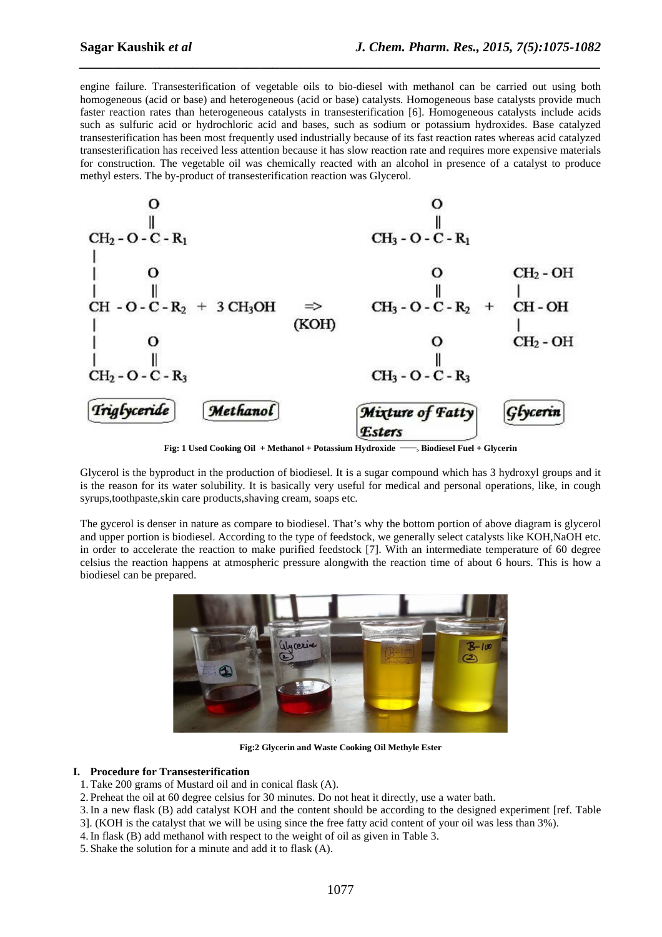engine failure. Transesterification of vegetable oils to bio-diesel with methanol can be carried out using both homogeneous (acid or base) and heterogeneous (acid or base) catalysts. Homogeneous base catalysts provide much faster reaction rates than heterogeneous catalysts in transesterification [6]. Homogeneous catalysts include acids such as sulfuric acid or hydrochloric acid and bases, such as sodium or potassium hydroxides. Base catalyzed transesterification has been most frequently used industrially because of its fast reaction rates whereas acid catalyzed transesterification has received less attention because it has slow reaction rate and requires more expensive materials for construction. The vegetable oil was chemically reacted with an alcohol in presence of a catalyst to produce methyl esters. The by-product of transesterification reaction was Glycerol.

*\_\_\_\_\_\_\_\_\_\_\_\_\_\_\_\_\_\_\_\_\_\_\_\_\_\_\_\_\_\_\_\_\_\_\_\_\_\_\_\_\_\_\_\_\_\_\_\_\_\_\_\_\_\_\_\_\_\_\_\_\_\_\_\_\_\_\_\_\_\_\_\_\_\_\_\_\_\_*



**Fig: 1 Used Cooking Oil + Methanol + Potassium Hydroxide \_\_\_\_\_\_ <sup>&</sup>gt;Biodiesel Fuel + Glycerin** 

Glycerol is the byproduct in the production of biodiesel. It is a sugar compound which has 3 hydroxyl groups and it is the reason for its water solubility. It is basically very useful for medical and personal operations, like, in cough syrups,toothpaste,skin care products,shaving cream, soaps etc.

The gycerol is denser in nature as compare to biodiesel. That's why the bottom portion of above diagram is glycerol and upper portion is biodiesel. According to the type of feedstock, we generally select catalysts like KOH,NaOH etc. in order to accelerate the reaction to make purified feedstock [7]. With an intermediate temperature of 60 degree celsius the reaction happens at atmospheric pressure alongwith the reaction time of about 6 hours. This is how a biodiesel can be prepared.



**Fig:2 Glycerin and Waste Cooking Oil Methyle Ester** 

#### **I. Procedure for Transesterification**

- 1.Take 200 grams of Mustard oil and in conical flask (A).
- 2. Preheat the oil at 60 degree celsius for 30 minutes. Do not heat it directly, use a water bath.
- 3.In a new flask (B) add catalyst KOH and the content should be according to the designed experiment [ref. Table 3]. (KOH is the catalyst that we will be using since the free fatty acid content of your oil was less than 3%).
- 4.In flask (B) add methanol with respect to the weight of oil as given in Table 3.
- 5. Shake the solution for a minute and add it to flask (A).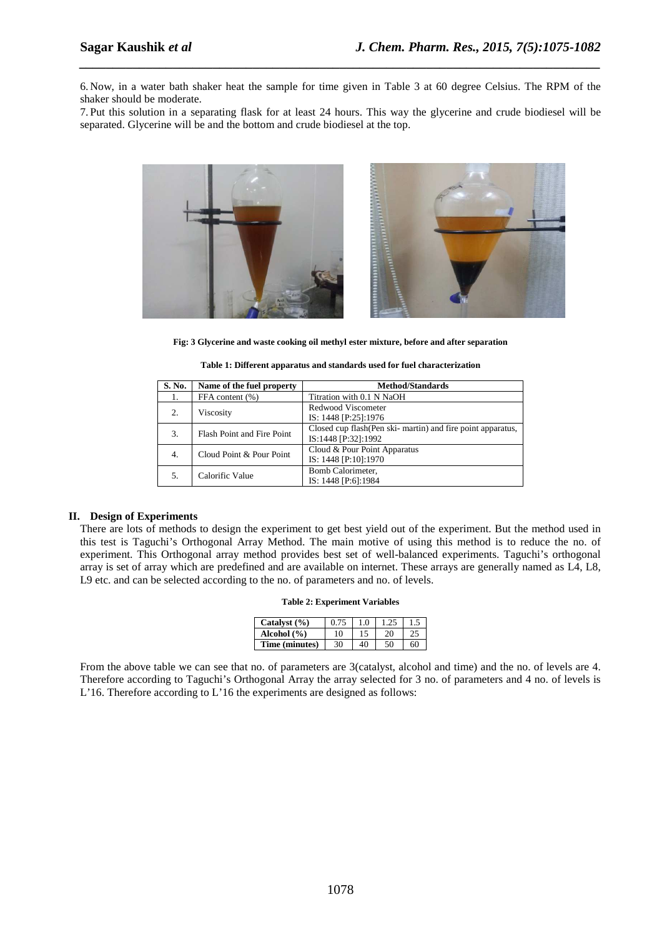6. Now, in a water bath shaker heat the sample for time given in Table 3 at 60 degree Celsius. The RPM of the shaker should be moderate.

*\_\_\_\_\_\_\_\_\_\_\_\_\_\_\_\_\_\_\_\_\_\_\_\_\_\_\_\_\_\_\_\_\_\_\_\_\_\_\_\_\_\_\_\_\_\_\_\_\_\_\_\_\_\_\_\_\_\_\_\_\_\_\_\_\_\_\_\_\_\_\_\_\_\_\_\_\_\_*

7. Put this solution in a separating flask for at least 24 hours. This way the glycerine and crude biodiesel will be separated. Glycerine will be and the bottom and crude biodiesel at the top.



**Fig: 3 Glycerine and waste cooking oil methyl ester mixture, before and after separation** 

| S. No. | Name of the fuel property  | <b>Method/Standards</b>                                      |
|--------|----------------------------|--------------------------------------------------------------|
| Ι.     | FFA content (%)            | Titration with 0.1 N NaOH                                    |
| 2.     | Viscosity                  | Redwood Viscometer                                           |
|        |                            | IS: 1448 [P:25]:1976                                         |
| 3.     | Flash Point and Fire Point | Closed cup flash (Pen ski- martin) and fire point apparatus, |
|        |                            | IS:1448 [P:32]:1992                                          |
| 4.     | Cloud Point & Pour Point   | Cloud & Pour Point Apparatus                                 |
|        |                            | IS: 1448 [P:10]:1970                                         |
| 5.     | Calorific Value            | Bomb Calorimeter.                                            |
|        |                            | IS: 1448 [P:6]:1984                                          |

| Table 1: Different apparatus and standards used for fuel characterization |  |
|---------------------------------------------------------------------------|--|
|---------------------------------------------------------------------------|--|

#### **II. Design of Experiments**

There are lots of methods to design the experiment to get best yield out of the experiment. But the method used in this test is Taguchi's Orthogonal Array Method. The main motive of using this method is to reduce the no. of experiment. This Orthogonal array method provides best set of well-balanced experiments. Taguchi's orthogonal array is set of array which are predefined and are available on internet. These arrays are generally named as L4, L8, L9 etc. and can be selected according to the no. of parameters and no. of levels.

| Catalyst $(\% )$ |    | 1.0 |    |    |
|------------------|----|-----|----|----|
| Alcohol $(\% )$  | 10 |     |    |    |
| Time (minutes)   | 30 | 40  | 50 | 60 |

From the above table we can see that no. of parameters are 3(catalyst, alcohol and time) and the no. of levels are 4. Therefore according to Taguchi's Orthogonal Array the array selected for 3 no. of parameters and 4 no. of levels is L'16. Therefore according to L'16 the experiments are designed as follows: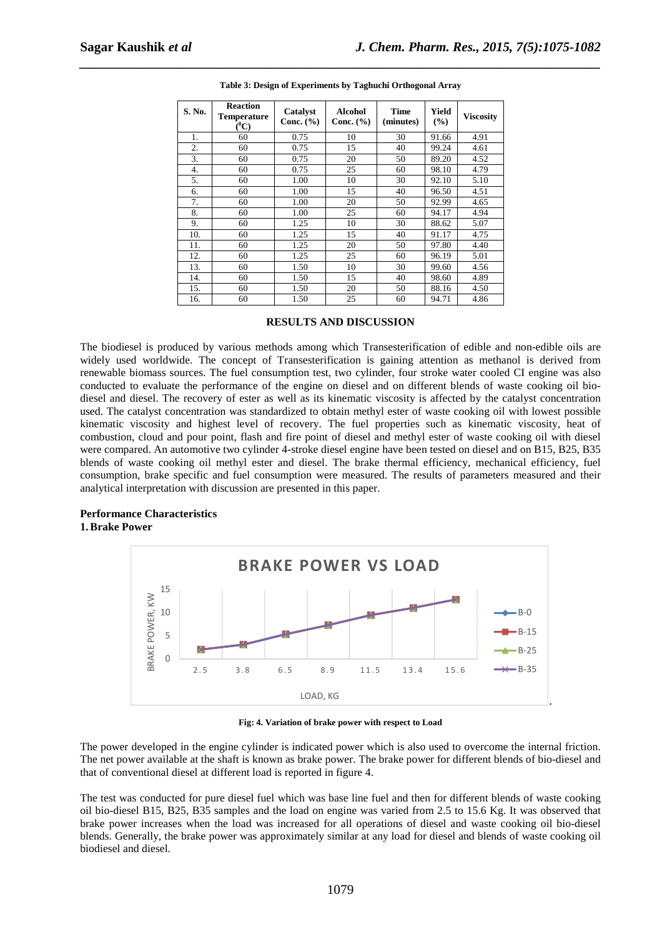| S. No. | <b>Reaction</b><br><b>Temperature</b><br>$(^0C)$ | Catalyst<br>Conc. $(\% )$ | <b>Alcohol</b><br>Conc. $(\% )$ | <b>Time</b><br>(minutes) | Yield<br>$\frac{9}{6}$ | <b>Viscosity</b> |
|--------|--------------------------------------------------|---------------------------|---------------------------------|--------------------------|------------------------|------------------|
| 1.     | 60                                               | 0.75                      | 10                              | 30                       | 91.66                  | 4.91             |
| 2.     | 60                                               | 0.75                      | 15                              | 40                       | 99.24                  | 4.61             |
| 3.     | 60                                               | 0.75                      | 20                              | 50                       | 89.20                  | 4.52             |
| 4.     | 60                                               | 0.75                      | 25                              | 60                       | 98.10                  | 4.79             |
| 5.     | 60                                               | 1.00                      | 10                              | 30                       | 92.10                  | 5.10             |
| 6.     | 60                                               | 1.00                      | 15                              | 40                       | 96.50                  | 4.51             |
| 7.     | 60                                               | 1.00                      | 20                              | 50                       | 92.99                  | 4.65             |
| 8.     | 60                                               | 1.00                      | 25                              | 60                       | 94.17                  | 4.94             |
| 9.     | 60                                               | 1.25                      | 10                              | 30                       | 88.62                  | 5.07             |
| 10.    | 60                                               | 1.25                      | 15                              | 40                       | 91.17                  | 4.75             |
| 11.    | 60                                               | 1.25                      | 20                              | 50                       | 97.80                  | 4.40             |
| 12.    | 60                                               | 1.25                      | 25                              | 60                       | 96.19                  | 5.01             |
| 13.    | 60                                               | 1.50                      | 10                              | 30                       | 99.60                  | 4.56             |
| 14.    | 60                                               | 1.50                      | 15                              | 40                       | 98.60                  | 4.89             |
| 15.    | 60                                               | 1.50                      | 20                              | 50                       | 88.16                  | 4.50             |
| 16.    | 60                                               | 1.50                      | 25                              | 60                       | 94.71                  | 4.86             |

# *\_\_\_\_\_\_\_\_\_\_\_\_\_\_\_\_\_\_\_\_\_\_\_\_\_\_\_\_\_\_\_\_\_\_\_\_\_\_\_\_\_\_\_\_\_\_\_\_\_\_\_\_\_\_\_\_\_\_\_\_\_\_\_\_\_\_\_\_\_\_\_\_\_\_\_\_\_\_* **Table 3: Design of Experiments by Taghuchi Orthogonal Array**

### **RESULTS AND DISCUSSION**

The biodiesel is produced by various methods among which Transesterification of edible and non-edible oils are widely used worldwide. The concept of Transesterification is gaining attention as methanol is derived from renewable biomass sources. The fuel consumption test, two cylinder, four stroke water cooled CI engine was also conducted to evaluate the performance of the engine on diesel and on different blends of waste cooking oil biodiesel and diesel. The recovery of ester as well as its kinematic viscosity is affected by the catalyst concentration used. The catalyst concentration was standardized to obtain methyl ester of waste cooking oil with lowest possible kinematic viscosity and highest level of recovery. The fuel properties such as kinematic viscosity, heat of combustion, cloud and pour point, flash and fire point of diesel and methyl ester of waste cooking oil with diesel were compared. An automotive two cylinder 4-stroke diesel engine have been tested on diesel and on B15, B25, B35 blends of waste cooking oil methyl ester and diesel. The brake thermal efficiency, mechanical efficiency, fuel consumption, brake specific and fuel consumption were measured. The results of parameters measured and their analytical interpretation with discussion are presented in this paper.

#### **Performance Characteristics 1.Brake Power**



**Fig: 4. Variation of brake power with respect to Load** 

The power developed in the engine cylinder is indicated power which is also used to overcome the internal friction. The net power available at the shaft is known as brake power. The brake power for different blends of bio-diesel and that of conventional diesel at different load is reported in figure 4.

The test was conducted for pure diesel fuel which was base line fuel and then for different blends of waste cooking oil bio-diesel B15, B25, B35 samples and the load on engine was varied from 2.5 to 15.6 Kg. It was observed that brake power increases when the load was increased for all operations of diesel and waste cooking oil bio-diesel blends. Generally, the brake power was approximately similar at any load for diesel and blends of waste cooking oil biodiesel and diesel.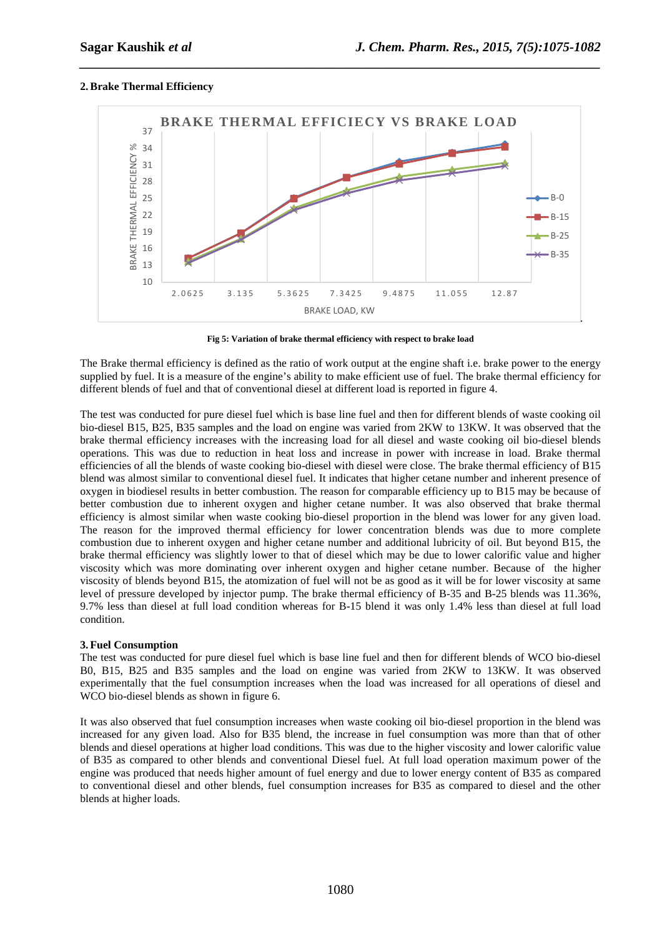### **2.Brake Thermal Efficiency**



*\_\_\_\_\_\_\_\_\_\_\_\_\_\_\_\_\_\_\_\_\_\_\_\_\_\_\_\_\_\_\_\_\_\_\_\_\_\_\_\_\_\_\_\_\_\_\_\_\_\_\_\_\_\_\_\_\_\_\_\_\_\_\_\_\_\_\_\_\_\_\_\_\_\_\_\_\_\_*

**Fig 5: Variation of brake thermal efficiency with respect to brake load** 

The Brake thermal efficiency is defined as the ratio of work output at the engine shaft i.e. brake power to the energy supplied by fuel. It is a measure of the engine's ability to make efficient use of fuel. The brake thermal efficiency for different blends of fuel and that of conventional diesel at different load is reported in figure 4.

The test was conducted for pure diesel fuel which is base line fuel and then for different blends of waste cooking oil bio-diesel B15, B25, B35 samples and the load on engine was varied from 2KW to 13KW. It was observed that the brake thermal efficiency increases with the increasing load for all diesel and waste cooking oil bio-diesel blends operations. This was due to reduction in heat loss and increase in power with increase in load. Brake thermal efficiencies of all the blends of waste cooking bio-diesel with diesel were close. The brake thermal efficiency of B15 blend was almost similar to conventional diesel fuel. It indicates that higher cetane number and inherent presence of oxygen in biodiesel results in better combustion. The reason for comparable efficiency up to B15 may be because of better combustion due to inherent oxygen and higher cetane number. It was also observed that brake thermal efficiency is almost similar when waste cooking bio-diesel proportion in the blend was lower for any given load. The reason for the improved thermal efficiency for lower concentration blends was due to more complete combustion due to inherent oxygen and higher cetane number and additional lubricity of oil. But beyond B15, the brake thermal efficiency was slightly lower to that of diesel which may be due to lower calorific value and higher viscosity which was more dominating over inherent oxygen and higher cetane number. Because of the higher viscosity of blends beyond B15, the atomization of fuel will not be as good as it will be for lower viscosity at same level of pressure developed by injector pump. The brake thermal efficiency of B-35 and B-25 blends was 11.36%, 9.7% less than diesel at full load condition whereas for B-15 blend it was only 1.4% less than diesel at full load condition.

### **3.Fuel Consumption**

The test was conducted for pure diesel fuel which is base line fuel and then for different blends of WCO bio-diesel B0, B15, B25 and B35 samples and the load on engine was varied from 2KW to 13KW. It was observed experimentally that the fuel consumption increases when the load was increased for all operations of diesel and WCO bio-diesel blends as shown in figure 6.

It was also observed that fuel consumption increases when waste cooking oil bio-diesel proportion in the blend was increased for any given load. Also for B35 blend, the increase in fuel consumption was more than that of other blends and diesel operations at higher load conditions. This was due to the higher viscosity and lower calorific value of B35 as compared to other blends and conventional Diesel fuel. At full load operation maximum power of the engine was produced that needs higher amount of fuel energy and due to lower energy content of B35 as compared to conventional diesel and other blends, fuel consumption increases for B35 as compared to diesel and the other blends at higher loads.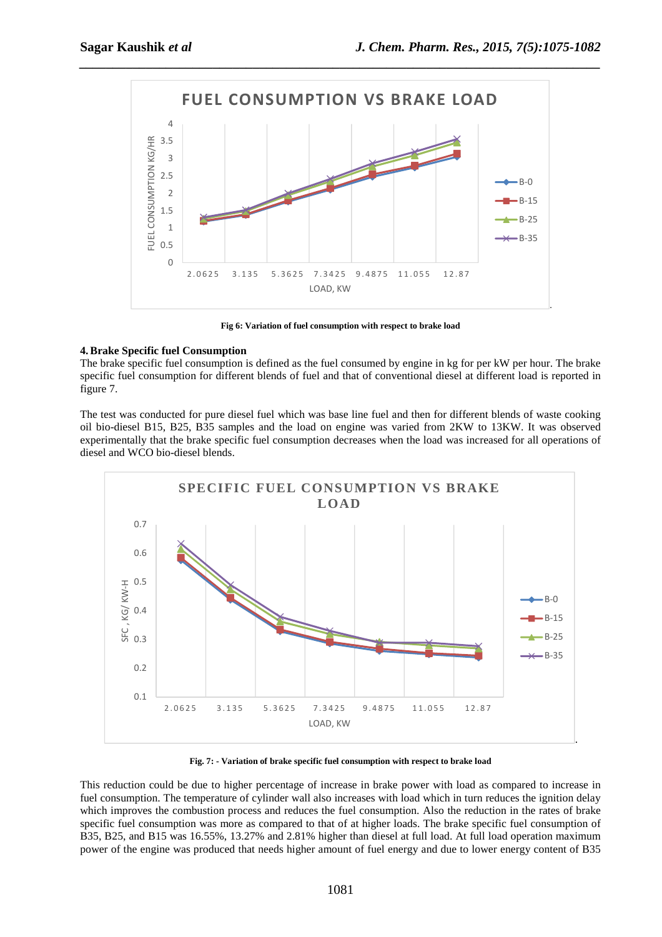

**Fig 6: Variation of fuel consumption with respect to brake load** 

### **4.Brake Specific fuel Consumption**

The brake specific fuel consumption is defined as the fuel consumed by engine in kg for per kW per hour. The brake specific fuel consumption for different blends of fuel and that of conventional diesel at different load is reported in figure 7.

The test was conducted for pure diesel fuel which was base line fuel and then for different blends of waste cooking oil bio-diesel B15, B25, B35 samples and the load on engine was varied from 2KW to 13KW. It was observed experimentally that the brake specific fuel consumption decreases when the load was increased for all operations of diesel and WCO bio-diesel blends.



**Fig. 7: - Variation of brake specific fuel consumption with respect to brake load** 

This reduction could be due to higher percentage of increase in brake power with load as compared to increase in fuel consumption. The temperature of cylinder wall also increases with load which in turn reduces the ignition delay which improves the combustion process and reduces the fuel consumption. Also the reduction in the rates of brake specific fuel consumption was more as compared to that of at higher loads. The brake specific fuel consumption of B35, B25, and B15 was 16.55%, 13.27% and 2.81% higher than diesel at full load. At full load operation maximum power of the engine was produced that needs higher amount of fuel energy and due to lower energy content of B35